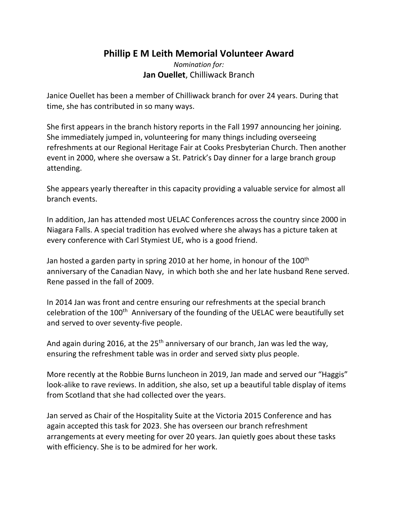## **Phillip E M Leith Memorial Volunteer Award**

*Nomination for:*  **Jan Ouellet**, Chilliwack Branch

Janice Ouellet has been a member of Chilliwack branch for over 24 years. During that time, she has contributed in so many ways.

She first appears in the branch history reports in the Fall 1997 announcing her joining. She immediately jumped in, volunteering for many things including overseeing refreshments at our Regional Heritage Fair at Cooks Presbyterian Church. Then another event in 2000, where she oversaw a St. Patrick's Day dinner for a large branch group attending.

She appears yearly thereafter in this capacity providing a valuable service for almost all branch events.

In addition, Jan has attended most UELAC Conferences across the country since 2000 in Niagara Falls. A special tradition has evolved where she always has a picture taken at every conference with Carl Stymiest UE, who is a good friend.

Jan hosted a garden party in spring 2010 at her home, in honour of the 100<sup>th</sup> anniversary of the Canadian Navy, in which both she and her late husband Rene served. Rene passed in the fall of 2009.

In 2014 Jan was front and centre ensuring our refreshments at the special branch celebration of the 100<sup>th</sup> Anniversary of the founding of the UELAC were beautifully set and served to over seventy-five people.

And again during 2016, at the  $25<sup>th</sup>$  anniversary of our branch, Jan was led the way, ensuring the refreshment table was in order and served sixty plus people.

More recently at the Robbie Burns luncheon in 2019, Jan made and served our "Haggis" look-alike to rave reviews. In addition, she also, set up a beautiful table display of items from Scotland that she had collected over the years.

Jan served as Chair of the Hospitality Suite at the Victoria 2015 Conference and has again accepted this task for 2023. She has overseen our branch refreshment arrangements at every meeting for over 20 years. Jan quietly goes about these tasks with efficiency. She is to be admired for her work.